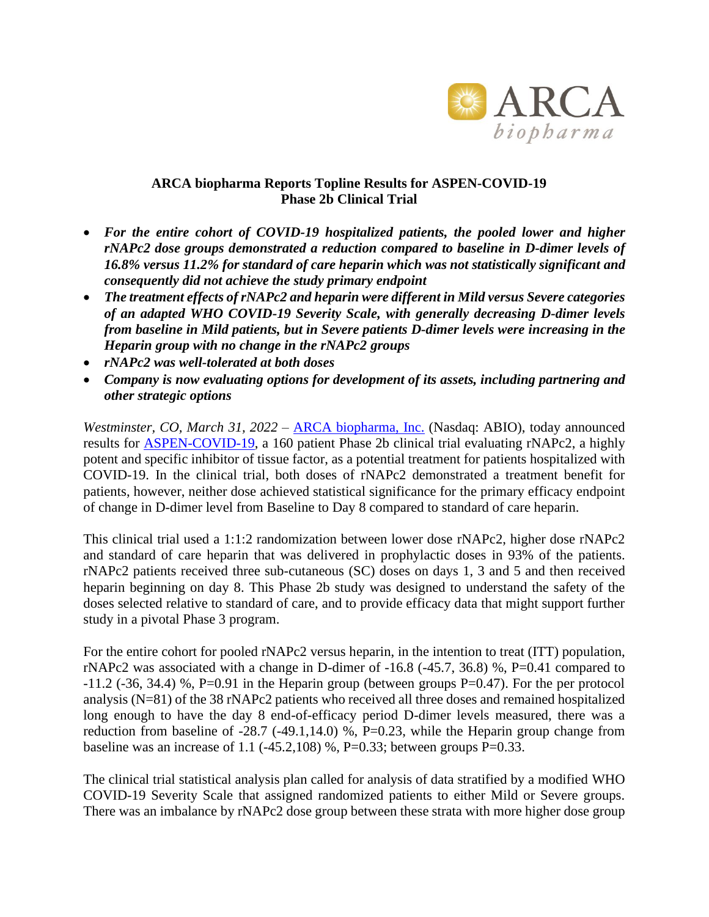

## **ARCA biopharma Reports Topline Results for ASPEN-COVID-19 Phase 2b Clinical Trial**

- *For the entire cohort of COVID-19 hospitalized patients, the pooled lower and higher rNAPc2 dose groups demonstrated a reduction compared to baseline in D-dimer levels of 16.8% versus 11.2% for standard of care heparin which was not statistically significant and consequently did not achieve the study primary endpoint*
- *The treatment effects of rNAPc2 and heparin were different in Mild versus Severe categories of an adapted WHO COVID-19 Severity Scale, with generally decreasing D-dimer levels from baseline in Mild patients, but in Severe patients D-dimer levels were increasing in the Heparin group with no change in the rNAPc2 groups*
- *rNAPc2 was well-tolerated at both doses*
- *Company is now evaluating options for development of its assets, including partnering and other strategic options*

*Westminster, CO, March 31, 2022* – [ARCA biopharma, Inc.](http://www.arcabio.com/) (Nasdaq: ABIO), today announced results for [ASPEN-COVID-19,](https://clinicaltrials.gov/ct2/show/NCT04655586?term=ASPEN-COVID-19&draw=2&rank=1) a 160 patient Phase 2b clinical trial evaluating rNAPc2, a highly potent and specific inhibitor of tissue factor, as a potential treatment for patients hospitalized with COVID-19. In the clinical trial, both doses of rNAPc2 demonstrated a treatment benefit for patients, however, neither dose achieved statistical significance for the primary efficacy endpoint of change in D-dimer level from Baseline to Day 8 compared to standard of care heparin.

This clinical trial used a 1:1:2 randomization between lower dose rNAPc2, higher dose rNAPc2 and standard of care heparin that was delivered in prophylactic doses in 93% of the patients. rNAPc2 patients received three sub-cutaneous (SC) doses on days 1, 3 and 5 and then received heparin beginning on day 8. This Phase 2b study was designed to understand the safety of the doses selected relative to standard of care, and to provide efficacy data that might support further study in a pivotal Phase 3 program.

For the entire cohort for pooled rNAPc2 versus heparin, in the intention to treat (ITT) population, rNAPc2 was associated with a change in D-dimer of -16.8 (-45.7, 36.8) %, P=0.41 compared to  $-11.2$  ( $-36$ ,  $34.4$ ) %, P=0.91 in the Heparin group (between groups P=0.47). For the per protocol analysis (N=81) of the 38 rNAPc2 patients who received all three doses and remained hospitalized long enough to have the day 8 end-of-efficacy period D-dimer levels measured, there was a reduction from baseline of  $-28.7$  ( $-49.1,14.0$ ) %, P=0.23, while the Heparin group change from baseline was an increase of 1.1 ( $-45.2,108$ ) %, P=0.33; between groups P=0.33.

The clinical trial statistical analysis plan called for analysis of data stratified by a modified WHO COVID-19 Severity Scale that assigned randomized patients to either Mild or Severe groups. There was an imbalance by rNAPc2 dose group between these strata with more higher dose group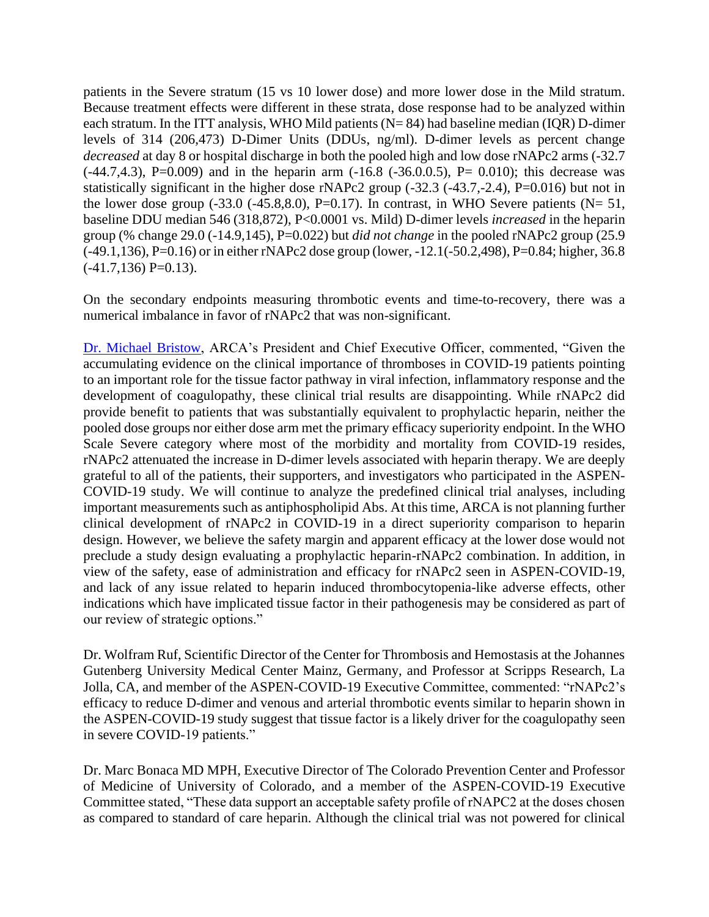patients in the Severe stratum (15 vs 10 lower dose) and more lower dose in the Mild stratum. Because treatment effects were different in these strata, dose response had to be analyzed within each stratum. In the ITT analysis, WHO Mild patients (N= 84) had baseline median (IQR) D-dimer levels of 314 (206,473) D-Dimer Units (DDUs, ng/ml). D-dimer levels as percent change *decreased* at day 8 or hospital discharge in both the pooled high and low dose rNAPc2 arms (-32.7  $(-44.7, 4.3)$ , P=0.009) and in the heparin arm  $(-16.8 (-36.0.0.5))$ , P= 0.010); this decrease was statistically significant in the higher dose rNAPc2 group (-32.3 (-43.7,-2.4), P=0.016) but not in the lower dose group  $(-33.0 \ (-45.8, 8.0), P=0.17)$ . In contrast, in WHO Severe patients (N= 51, baseline DDU median 546 (318,872), P<0.0001 vs. Mild) D-dimer levels *increased* in the heparin group (% change 29.0 (-14.9,145), P=0.022) but *did not change* in the pooled rNAPc2 group (25.9 (-49.1,136), P=0.16) or in either rNAPc2 dose group (lower, -12.1(-50.2,498), P=0.84; higher, 36.8  $(-41.7, 136)$  P=0.13).

On the secondary endpoints measuring thrombotic events and time-to-recovery, there was a numerical imbalance in favor of rNAPc2 that was non-significant.

[Dr. Michael Bristow,](http://arcabio.com/people/michael-bristow/) ARCA's President and Chief Executive Officer, commented, "Given the accumulating evidence on the clinical importance of thromboses in COVID-19 patients pointing to an important role for the tissue factor pathway in viral infection, inflammatory response and the development of coagulopathy, these clinical trial results are disappointing. While rNAPc2 did provide benefit to patients that was substantially equivalent to prophylactic heparin, neither the pooled dose groups nor either dose arm met the primary efficacy superiority endpoint. In the WHO Scale Severe category where most of the morbidity and mortality from COVID-19 resides, rNAPc2 attenuated the increase in D-dimer levels associated with heparin therapy. We are deeply grateful to all of the patients, their supporters, and investigators who participated in the ASPEN-COVID-19 study. We will continue to analyze the predefined clinical trial analyses, including important measurements such as antiphospholipid Abs. At this time, ARCA is not planning further clinical development of rNAPc2 in COVID-19 in a direct superiority comparison to heparin design. However, we believe the safety margin and apparent efficacy at the lower dose would not preclude a study design evaluating a prophylactic heparin-rNAPc2 combination. In addition, in view of the safety, ease of administration and efficacy for rNAPc2 seen in ASPEN-COVID-19, and lack of any issue related to heparin induced thrombocytopenia-like adverse effects, other indications which have implicated tissue factor in their pathogenesis may be considered as part of our review of strategic options."

Dr. Wolfram Ruf, Scientific Director of the Center for Thrombosis and Hemostasis at the Johannes Gutenberg University Medical Center Mainz, Germany, and Professor at Scripps Research, La Jolla, CA, and member of the ASPEN-COVID-19 Executive Committee, commented: "rNAPc2's efficacy to reduce D-dimer and venous and arterial thrombotic events similar to heparin shown in the ASPEN-COVID-19 study suggest that tissue factor is a likely driver for the coagulopathy seen in severe COVID-19 patients."

Dr. Marc Bonaca MD MPH, Executive Director of The Colorado Prevention Center and Professor of Medicine of University of Colorado, and a member of the ASPEN-COVID-19 Executive Committee stated, "These data support an acceptable safety profile of rNAPC2 at the doses chosen as compared to standard of care heparin. Although the clinical trial was not powered for clinical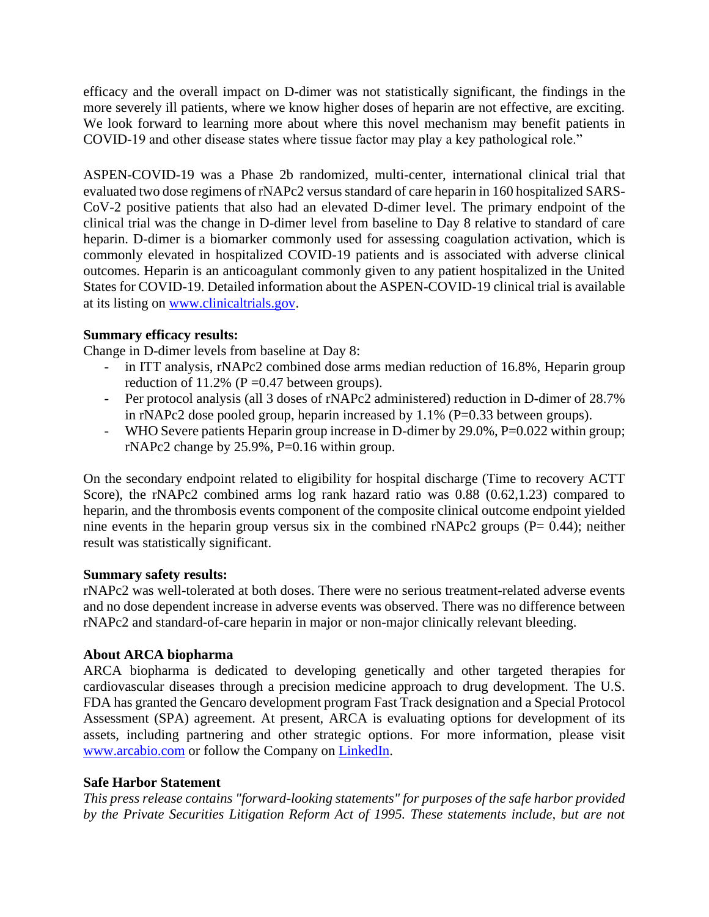efficacy and the overall impact on D-dimer was not statistically significant, the findings in the more severely ill patients, where we know higher doses of heparin are not effective, are exciting. We look forward to learning more about where this novel mechanism may benefit patients in COVID-19 and other disease states where tissue factor may play a key pathological role."

ASPEN-COVID-19 was a Phase 2b randomized, multi-center, international clinical trial that evaluated two dose regimens of rNAPc2 versus standard of care heparin in 160 hospitalized SARS-CoV-2 positive patients that also had an elevated D-dimer level. The primary endpoint of the clinical trial was the change in D-dimer level from baseline to Day 8 relative to standard of care heparin. D-dimer is a biomarker commonly used for assessing coagulation activation, which is commonly elevated in hospitalized COVID-19 patients and is associated with adverse clinical outcomes. Heparin is an anticoagulant commonly given to any patient hospitalized in the United States for COVID-19. Detailed information about the ASPEN-COVID-19 clinical trial is available at its listing on [www.clinicaltrials.gov.](http://www.clinicaltrials.gov/)

# **Summary efficacy results:**

Change in D-dimer levels from baseline at Day 8:

- in ITT analysis, rNAPc2 combined dose arms median reduction of 16.8%, Heparin group reduction of 11.2% ( $P = 0.47$  between groups).
- Per protocol analysis (all 3 doses of rNAPc2 administered) reduction in D-dimer of 28.7% in rNAPc2 dose pooled group, heparin increased by  $1.1\%$  (P=0.33 between groups).
- WHO Severe patients Heparin group increase in D-dimer by 29.0%, P=0.022 within group; rNAPc2 change by  $25.9\%$ , P=0.16 within group.

On the secondary endpoint related to eligibility for hospital discharge (Time to recovery ACTT Score), the rNAPc2 combined arms log rank hazard ratio was 0.88 (0.62,1.23) compared to heparin, and the thrombosis events component of the composite clinical outcome endpoint yielded nine events in the heparin group versus six in the combined rNAPc2 groups ( $P = 0.44$ ); neither result was statistically significant.

### **Summary safety results:**

rNAPc2 was well-tolerated at both doses. There were no serious treatment-related adverse events and no dose dependent increase in adverse events was observed. There was no difference between rNAPc2 and standard-of-care heparin in major or non-major clinically relevant bleeding.

### **About ARCA biopharma**

ARCA biopharma is dedicated to developing genetically and other targeted therapies for cardiovascular diseases through a precision medicine approach to drug development. The U.S. FDA has granted the Gencaro development program Fast Track designation and a Special Protocol Assessment (SPA) agreement. At present, ARCA is evaluating options for development of its assets, including partnering and other strategic options. For more information, please visit [www.arcabio.com](http://www.arcabio.com/) or follow the Company on [LinkedIn.](http://www.linkedin.com/company/arca-biopharma-inc./)

### **Safe Harbor Statement**

*This press release contains "forward-looking statements" for purposes of the safe harbor provided by the Private Securities Litigation Reform Act of 1995. These statements include, but are not*